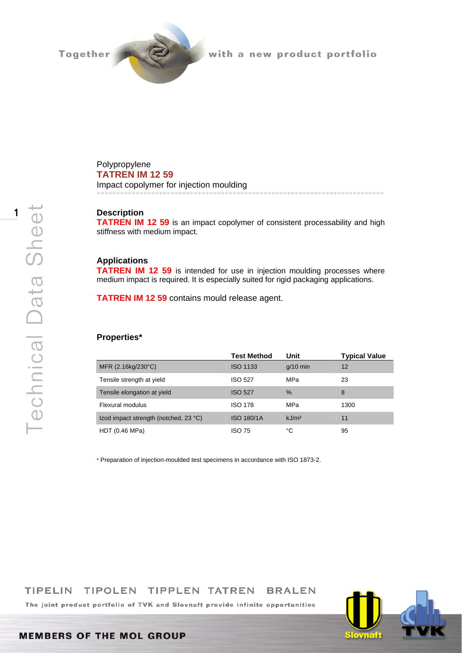

with a new product portfolio

Polypropylene **TATREN IM 12 59** 

Impact copolymer for injection moulding \*\*\*\*\*\*\*\*\*\*\*\*\*\*\*\*\*\*\*\*\*\*\*\*\*\*\*\*\*\*\*\*\*\*\*\*\*\*\*\*\*\*\*\*\*\*\*\*\*\*\*\*\*\*\*\*\*\*\*\*\*\*\*\*\*\*\*\*\*\*\*\*\*\*

# **Description**

**TATREN IM 12 59** is an impact copolymer of consistent processability and high stiffness with medium impact.

# **Applications**

**TATREN IM 12 59** is intended for use in injection moulding processes where medium impact is required. It is especially suited for rigid packaging applications.

**TATREN IM 12 59** contains mould release agent.

#### **Properties\***

|                                       | <b>Test Method</b> | Unit              | <b>Typical Value</b> |
|---------------------------------------|--------------------|-------------------|----------------------|
| MFR (2.16kg/230°C)                    | <b>ISO 1133</b>    | $q/10$ min        | 12                   |
| Tensile strength at yield             | <b>ISO 527</b>     | MPa               | 23                   |
| Tensile elongation at yield           | <b>ISO 527</b>     | $\%$              | 8                    |
| Flexural modulus                      | <b>ISO 178</b>     | MPa               | 1300                 |
| Izod impact strength (notched, 23 °C) | <b>ISO 180/1A</b>  | kJ/m <sup>2</sup> | 11                   |
| HDT (0.46 MPa)                        | <b>ISO 75</b>      | °C                | 95                   |

\* Preparation of injection-moulded test specimens in accordance with ISO 1873-2.

#### **TIPELIN** TIPOLEN TIPPLEN TATREN **BRALEN**

The joint product portfolio of TVK and Slovnaft provide infinite opportunities



1